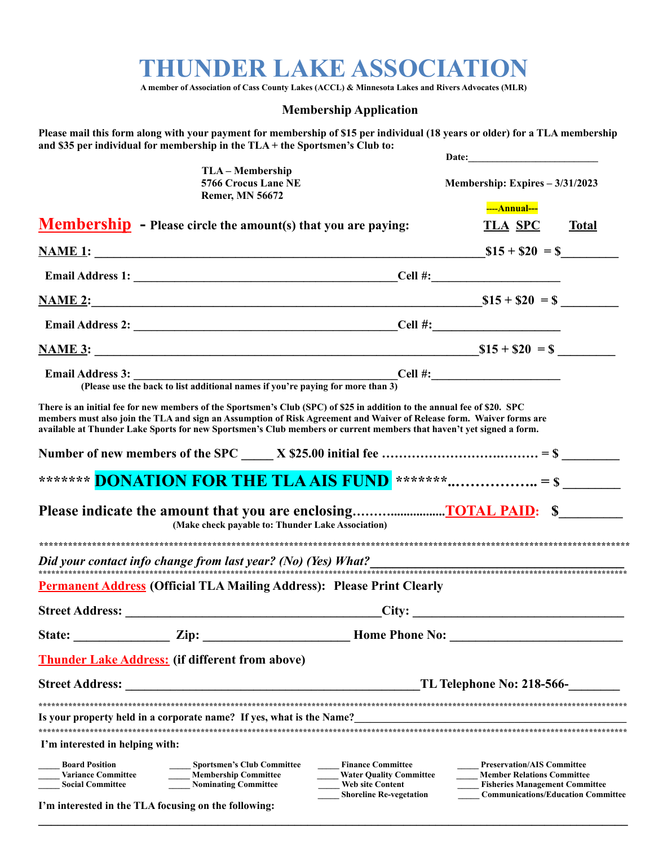## **THUNDER LAKE ASSOCIATION**

**A member of Association of Cass County Lakes (ACCL) & Minnesota Lakes and Rivers Advocates (MLR)**

## **Membership Application**

Please mail this form along with your payment for membership of \$15 per individual (18 years or older) for a TLA membership **and \$35 per individual for membership in the TLA + the Sportsmen's Club to:**

|                                                                               |                                                                                                                                                                                                                                                                                                                                                                          |                                                                                                                  | Date:                                                                                                                                                        |              |
|-------------------------------------------------------------------------------|--------------------------------------------------------------------------------------------------------------------------------------------------------------------------------------------------------------------------------------------------------------------------------------------------------------------------------------------------------------------------|------------------------------------------------------------------------------------------------------------------|--------------------------------------------------------------------------------------------------------------------------------------------------------------|--------------|
|                                                                               | TLA – Membership<br>5766 Crocus Lane NE<br><b>Remer, MN 56672</b>                                                                                                                                                                                                                                                                                                        |                                                                                                                  | Membership: Expires - 3/31/2023                                                                                                                              |              |
|                                                                               | <b>Membership</b> - Please circle the amount(s) that you are paying:                                                                                                                                                                                                                                                                                                     |                                                                                                                  | ----Annual---<br><b>TLA SPC</b>                                                                                                                              | <b>Total</b> |
|                                                                               |                                                                                                                                                                                                                                                                                                                                                                          |                                                                                                                  | $$15 + $20 = $$                                                                                                                                              |              |
|                                                                               |                                                                                                                                                                                                                                                                                                                                                                          |                                                                                                                  |                                                                                                                                                              |              |
|                                                                               | NAME 2: SI5 + \$20 = \$                                                                                                                                                                                                                                                                                                                                                  |                                                                                                                  |                                                                                                                                                              |              |
|                                                                               |                                                                                                                                                                                                                                                                                                                                                                          |                                                                                                                  |                                                                                                                                                              |              |
|                                                                               |                                                                                                                                                                                                                                                                                                                                                                          |                                                                                                                  |                                                                                                                                                              |              |
| <b>Email Address 3:</b>                                                       | Cell #:<br>(Please use the back to list additional names if you're paying for more than 3)                                                                                                                                                                                                                                                                               |                                                                                                                  |                                                                                                                                                              |              |
|                                                                               | There is an initial fee for new members of the Sportsmen's Club (SPC) of \$25 in addition to the annual fee of \$20. SPC<br>members must also join the TLA and sign an Assumption of Risk Agreement and Waiver of Release form. Waiver forms are<br>available at Thunder Lake Sports for new Sportsmen's Club members or current members that haven't yet signed a form. |                                                                                                                  |                                                                                                                                                              |              |
|                                                                               |                                                                                                                                                                                                                                                                                                                                                                          |                                                                                                                  |                                                                                                                                                              |              |
|                                                                               | ******* <b>DONATION FOR THE TLA AIS FUND</b> ******* = \$                                                                                                                                                                                                                                                                                                                |                                                                                                                  |                                                                                                                                                              |              |
|                                                                               | (Make check payable to: Thunder Lake Association)                                                                                                                                                                                                                                                                                                                        |                                                                                                                  |                                                                                                                                                              |              |
|                                                                               |                                                                                                                                                                                                                                                                                                                                                                          |                                                                                                                  |                                                                                                                                                              |              |
|                                                                               | <b>Permanent Address</b> (Official TLA Mailing Address): Please Print Clearly                                                                                                                                                                                                                                                                                            |                                                                                                                  |                                                                                                                                                              |              |
|                                                                               |                                                                                                                                                                                                                                                                                                                                                                          |                                                                                                                  | City:                                                                                                                                                        |              |
| State:                                                                        | Zip:                                                                                                                                                                                                                                                                                                                                                                     | <b>Home Phone No:</b>                                                                                            |                                                                                                                                                              |              |
|                                                                               | <b>Thunder Lake Address:</b> (if different from above)                                                                                                                                                                                                                                                                                                                   |                                                                                                                  |                                                                                                                                                              |              |
| <b>Street Address:</b>                                                        | TL Telephone No: 218-566-                                                                                                                                                                                                                                                                                                                                                |                                                                                                                  |                                                                                                                                                              |              |
|                                                                               |                                                                                                                                                                                                                                                                                                                                                                          |                                                                                                                  |                                                                                                                                                              |              |
|                                                                               | Is your property held in a corporate name? If yes, what is the Name?                                                                                                                                                                                                                                                                                                     |                                                                                                                  |                                                                                                                                                              |              |
| I'm interested in helping with:                                               |                                                                                                                                                                                                                                                                                                                                                                          |                                                                                                                  |                                                                                                                                                              |              |
|                                                                               |                                                                                                                                                                                                                                                                                                                                                                          |                                                                                                                  |                                                                                                                                                              |              |
| <b>Board Position</b><br><b>Variance Committee</b><br><b>Social Committee</b> | <b>Sportsmen's Club Committee</b><br><b>Membership Committee</b><br><b>Nominating Committee</b>                                                                                                                                                                                                                                                                          | <b>Finance Committee</b><br><b>Water Quality Committee</b><br>Web site Content<br><b>Shoreline Re-vegetation</b> | <b>Preservation/AIS Committee</b><br><b>Member Relations Committee</b><br><b>Fisheries Management Committee</b><br><b>Communications/Education Committee</b> |              |
| I'm interested in the TLA focusing on the following:                          |                                                                                                                                                                                                                                                                                                                                                                          |                                                                                                                  |                                                                                                                                                              |              |

 $\mathcal{L}_\mathcal{L} = \{ \mathcal{L}_\mathcal{L} = \{ \mathcal{L}_\mathcal{L} = \{ \mathcal{L}_\mathcal{L} = \{ \mathcal{L}_\mathcal{L} = \{ \mathcal{L}_\mathcal{L} = \{ \mathcal{L}_\mathcal{L} = \{ \mathcal{L}_\mathcal{L} = \{ \mathcal{L}_\mathcal{L} = \{ \mathcal{L}_\mathcal{L} = \{ \mathcal{L}_\mathcal{L} = \{ \mathcal{L}_\mathcal{L} = \{ \mathcal{L}_\mathcal{L} = \{ \mathcal{L}_\mathcal{L} = \{ \mathcal{L}_\mathcal{$